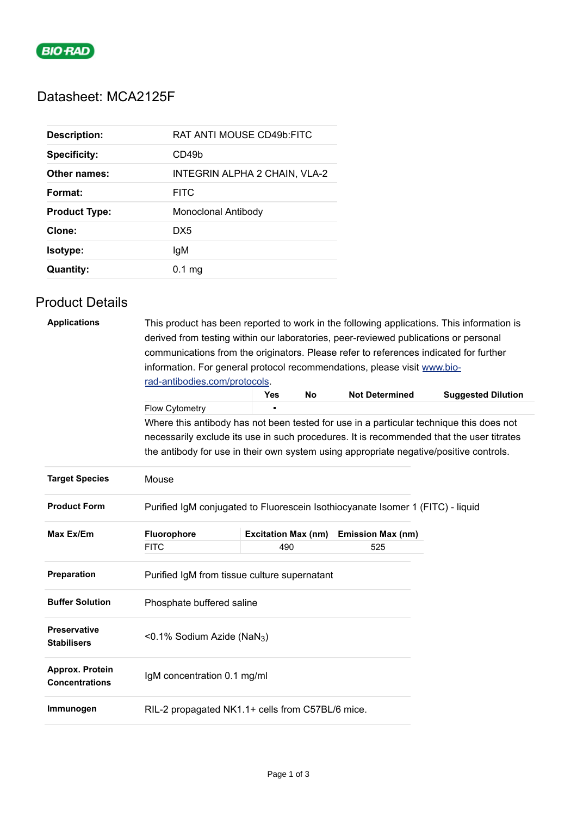

## Datasheet: MCA2125F

| <b>Description:</b>  | RAT ANTI MOUSE CD49b:FITC     |
|----------------------|-------------------------------|
| <b>Specificity:</b>  | CD49b                         |
| Other names:         | INTEGRIN ALPHA 2 CHAIN, VLA-2 |
| Format:              | <b>FITC</b>                   |
| <b>Product Type:</b> | <b>Monoclonal Antibody</b>    |
| Clone:               | DX5                           |
| Isotype:             | lgM                           |
| <b>Quantity:</b>     | $0.1 \text{ mg}$              |

## Product Details

| <b>Applications</b>                       | derived from testing within our laboratories, peer-reviewed publications or personal<br>communications from the originators. Please refer to references indicated for further<br>information. For general protocol recommendations, please visit www.bio- |                            |           |                          | This product has been reported to work in the following applications. This information is |
|-------------------------------------------|-----------------------------------------------------------------------------------------------------------------------------------------------------------------------------------------------------------------------------------------------------------|----------------------------|-----------|--------------------------|-------------------------------------------------------------------------------------------|
|                                           | rad-antibodies.com/protocols.                                                                                                                                                                                                                             |                            |           |                          |                                                                                           |
|                                           |                                                                                                                                                                                                                                                           | <b>Yes</b>                 | <b>No</b> | <b>Not Determined</b>    | <b>Suggested Dilution</b>                                                                 |
|                                           | Flow Cytometry                                                                                                                                                                                                                                            | П                          |           |                          |                                                                                           |
|                                           |                                                                                                                                                                                                                                                           |                            |           |                          | Where this antibody has not been tested for use in a particular technique this does not   |
|                                           | the antibody for use in their own system using appropriate negative/positive controls.                                                                                                                                                                    |                            |           |                          | necessarily exclude its use in such procedures. It is recommended that the user titrates  |
| <b>Target Species</b>                     | Mouse                                                                                                                                                                                                                                                     |                            |           |                          |                                                                                           |
| <b>Product Form</b>                       | Purified IgM conjugated to Fluorescein Isothiocyanate Isomer 1 (FITC) - liquid                                                                                                                                                                            |                            |           |                          |                                                                                           |
| Max Ex/Em                                 | Fluorophore                                                                                                                                                                                                                                               | <b>Excitation Max (nm)</b> |           | <b>Emission Max (nm)</b> |                                                                                           |
|                                           | <b>FITC</b>                                                                                                                                                                                                                                               | 490                        |           | 525                      |                                                                                           |
| Preparation                               | Purified IgM from tissue culture supernatant                                                                                                                                                                                                              |                            |           |                          |                                                                                           |
| <b>Buffer Solution</b>                    | Phosphate buffered saline                                                                                                                                                                                                                                 |                            |           |                          |                                                                                           |
| <b>Preservative</b><br><b>Stabilisers</b> | <0.1% Sodium Azide (NaN <sub>3</sub> )                                                                                                                                                                                                                    |                            |           |                          |                                                                                           |
| Approx. Protein<br><b>Concentrations</b>  | IgM concentration 0.1 mg/ml                                                                                                                                                                                                                               |                            |           |                          |                                                                                           |
| Immunogen                                 | RIL-2 propagated NK1.1+ cells from C57BL/6 mice.                                                                                                                                                                                                          |                            |           |                          |                                                                                           |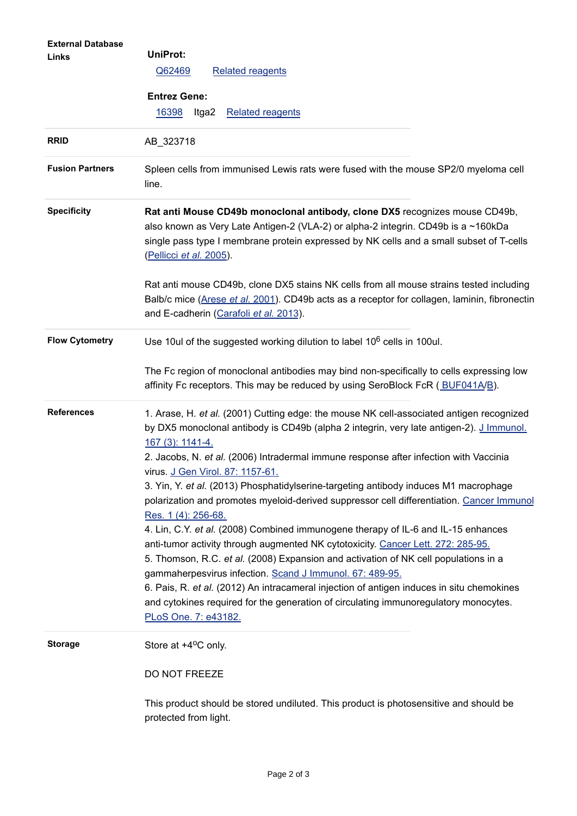| <b>External Database</b><br>Links | UniProt:<br><b>Related reagents</b><br>Q62469<br><b>Entrez Gene:</b><br>16398<br><b>Related reagents</b><br>Itga2                                                                                                                                                                      |
|-----------------------------------|----------------------------------------------------------------------------------------------------------------------------------------------------------------------------------------------------------------------------------------------------------------------------------------|
| <b>RRID</b>                       | AB_323718                                                                                                                                                                                                                                                                              |
|                                   |                                                                                                                                                                                                                                                                                        |
| <b>Fusion Partners</b>            | Spleen cells from immunised Lewis rats were fused with the mouse SP2/0 myeloma cell<br>line.                                                                                                                                                                                           |
| <b>Specificity</b>                | Rat anti Mouse CD49b monoclonal antibody, clone DX5 recognizes mouse CD49b,<br>also known as Very Late Antigen-2 (VLA-2) or alpha-2 integrin. CD49b is a ~160kDa<br>single pass type I membrane protein expressed by NK cells and a small subset of T-cells<br>(Pellicci et al. 2005). |
|                                   | Rat anti mouse CD49b, clone DX5 stains NK cells from all mouse strains tested including<br>Balb/c mice (Arese et al. 2001). CD49b acts as a receptor for collagen, laminin, fibronectin<br>and E-cadherin (Carafoli et al. 2013).                                                      |
| <b>Flow Cytometry</b>             | Use 10ul of the suggested working dilution to label 10 <sup>6</sup> cells in 100ul.                                                                                                                                                                                                    |
|                                   | The Fc region of monoclonal antibodies may bind non-specifically to cells expressing low<br>affinity Fc receptors. This may be reduced by using SeroBlock FcR (BUF041A/B).                                                                                                             |
| <b>References</b>                 | 1. Arase, H. et al. (2001) Cutting edge: the mouse NK cell-associated antigen recognized<br>by DX5 monoclonal antibody is CD49b (alpha 2 integrin, very late antigen-2). J Immunol.<br>167 (3): 1141-4.                                                                                |
|                                   | 2. Jacobs, N. et al. (2006) Intradermal immune response after infection with Vaccinia<br>virus. J Gen Virol. 87: 1157-61.                                                                                                                                                              |
|                                   | 3. Yin, Y. et al. (2013) Phosphatidylserine-targeting antibody induces M1 macrophage<br>polarization and promotes myeloid-derived suppressor cell differentiation. Cancer Immunol<br>Res. 1 (4): 256-68.                                                                               |
|                                   | 4. Lin, C.Y. et al. (2008) Combined immunogene therapy of IL-6 and IL-15 enhances<br>anti-tumor activity through augmented NK cytotoxicity. Cancer Lett. 272: 285-95.<br>5. Thomson, R.C. et al. (2008) Expansion and activation of NK cell populations in a                           |
|                                   | gammaherpesvirus infection. Scand J Immunol. 67: 489-95.                                                                                                                                                                                                                               |
|                                   | 6. Pais, R. et al. (2012) An intracameral injection of antigen induces in situ chemokines<br>and cytokines required for the generation of circulating immunoregulatory monocytes.<br>PLoS One. 7: e43182.                                                                              |
|                                   |                                                                                                                                                                                                                                                                                        |
| <b>Storage</b>                    | Store at +4°C only.                                                                                                                                                                                                                                                                    |
|                                   | DO NOT FREEZE                                                                                                                                                                                                                                                                          |
|                                   | This product should be stored undiluted. This product is photosensitive and should be<br>protected from light.                                                                                                                                                                         |